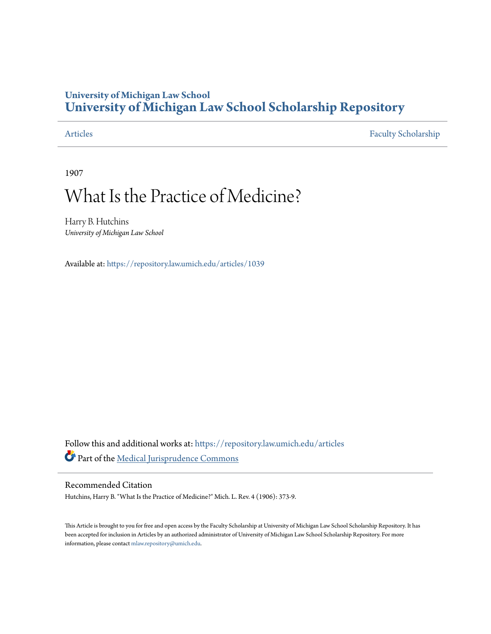## **University of Michigan Law School [University of Michigan Law School Scholarship Repository](https://repository.law.umich.edu?utm_source=repository.law.umich.edu%2Farticles%2F1039&utm_medium=PDF&utm_campaign=PDFCoverPages)**

[Articles](https://repository.law.umich.edu/articles?utm_source=repository.law.umich.edu%2Farticles%2F1039&utm_medium=PDF&utm_campaign=PDFCoverPages) [Faculty Scholarship](https://repository.law.umich.edu/faculty_scholarship?utm_source=repository.law.umich.edu%2Farticles%2F1039&utm_medium=PDF&utm_campaign=PDFCoverPages)

1907

## What Is the Practice of Medicine?

Harry B. Hutchins *University of Michigan Law School*

Available at: <https://repository.law.umich.edu/articles/1039>

Follow this and additional works at: [https://repository.law.umich.edu/articles](https://repository.law.umich.edu/articles?utm_source=repository.law.umich.edu%2Farticles%2F1039&utm_medium=PDF&utm_campaign=PDFCoverPages) Part of the [Medical Jurisprudence Commons](http://network.bepress.com/hgg/discipline/860?utm_source=repository.law.umich.edu%2Farticles%2F1039&utm_medium=PDF&utm_campaign=PDFCoverPages)

## Recommended Citation

Hutchins, Harry B. "What Is the Practice of Medicine?" Mich. L. Rev. 4 (1906): 373-9.

This Article is brought to you for free and open access by the Faculty Scholarship at University of Michigan Law School Scholarship Repository. It has been accepted for inclusion in Articles by an authorized administrator of University of Michigan Law School Scholarship Repository. For more information, please contact [mlaw.repository@umich.edu.](mailto:mlaw.repository@umich.edu)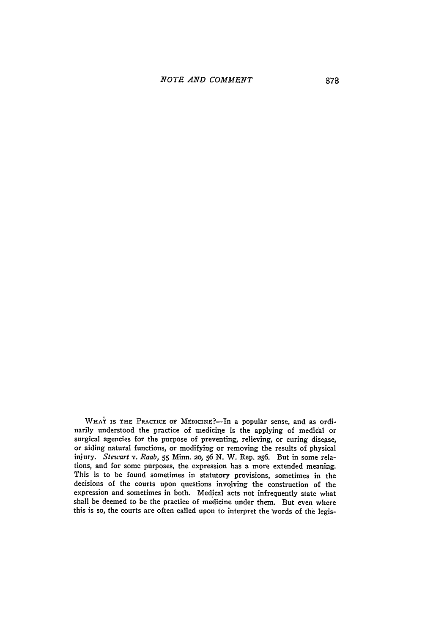WHAT IS THE PRACTICE OF MEDICINE?-In a popular sense, and as ordinarily understood the practice of medicine is the applying of medical or surgical agencies for the purpose of preventing, relieving, or curing disegse, or aiding natural functions, or modifying or removing the results of physical injury. Stewart *v. Raab,* **55** Minn. **20, 56** *N.* W. Rep. 256. But in some relations, and for some purposes, the expression has a more extended meaning. This is to be found sometimes in statutory provisions, sometimes in the decisions of the courts upon questions involving the construction of the expression and sometimes in both. Medical acts not infrequently state what shall be deemed to be the practice of medicine under them. But even where this is so, the courts are often called upon to interpret the words of the legis-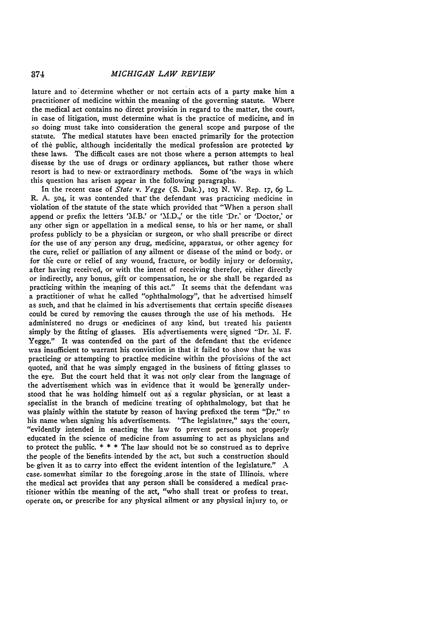lature and to'determine whether or not certain acts of a party make him a practitioner of medicine within the meaning of the governing statute. Where the medical act contains no direct provisidn in regard to the matter, the court, in case of litigation, must determine what is the practice of medicine, and in so doing must take into consideration the general scope and purpose of the statute. The medical statutes have been enacted primarily for the protection of the public, although incidentally the medical profession are protected **by** these laws. The difficult cases are not those where a person attempts to heal disease by the use of drugs or ordinary appliances, but rather those where resort is had to new. or extraordinary methods. Some of 'the ways in which this question has arisen appear in the following paragraphs.

In the recent case of *State v. Yegge* (S. Dak.), io3 N. W. Rep. **17, 69** L. R. **A.** 504, it was contended that" the defendant was practicing medicine in violation of the statute of the state which provided that "When a person shall append or prefix the letters 'M.B.' or 'M.D.,' or the title 'Dr.' or 'Doctor,' or any other sign or appellation in a medical sense, to his or her name, or shall profess publicly to be a physician or surgeon, or who shall prescribe or direct for the use of any'person any drug, medicine, apparatus, or other agency for the cure, relief or palliation of any ailment or disease of the mind or body. or for the cure or relief of any wound, fracture, or bodily injury or deformity, after having received, or with the intent of receiving therefor, either directly or indirectly, any bonus, gift or compensation, he or she shall be regarded as practicing within the meaning of this act." It seems that the defendant was a practitioner of what he called "ophthalmology", that he advertised himself as such, and that he claimed in his advertisements that certain specifid diseases could be cured by removing the causes through the use of his methods. He administered no drugs or medicines of any kind, but treated his patients simply by the fitting of glasses. His advertisements were signed "Dr. M. F. Yegge." It was contended on the part of the defendant that the evidence was insufficient to warrant his conviction in that it failed to show that he was practicing or attempting to practice medicine within the piovisidns of the act quoted, and that he was simply engaged in the business of fitting glasses to the eye. But the court held that it was not only clear from the language of the advertisement which was in evidence that it would be 'generally understood that he was holding himself out as a regular physician, or at least a specialist in the branch of medicine treating of ophthalmology, but that he was plainly within the statute by reason of having prefixed the term "Dr." to his name when signing his advertisements. "The legislature," says the'court, "evidently intended in enacting the law fo prevent persons not properly educated in the science of medicine from assuming to act as physicians and to protect the public.  $* * *$  The law should not be so construed as to deprive the people of the benefits. intended by the act, but such a construction should be given it as to carry into effect the evident intention of the legislature." A case, somewhat similar to the foregoing .arose in the state of Illinois. where the medical act provides that any person shall be considered a medical practitioner within the meaning of the act, "who shall treat or profess to treat. operate on, or prescribe for any physical ailment or any physical injury to, or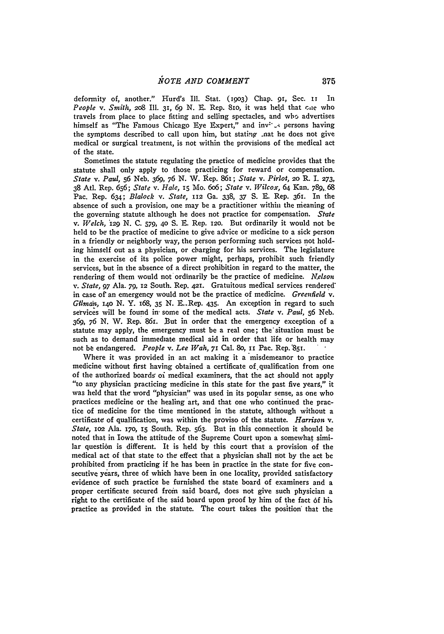deformity of, another." Hurd's Ill. Stat. (i9o3) Chap. **91,** Sec. **ii** In *People v. Smith, 208 Ill. 31, 69 N. E. Rep. 810, it was held that one who* travels from place to place fitting and selling spectacles, and who advertises himself as "The Famous Chicago Eye Expert," and invitus persons having the symptoms described to call upon him, but stating .nat he does not give medical or surgical treatment, is not within the provisions of the medical act of the state.

Sometimes the statute regulating the practice of medicine provides that the statute shall only apply to those practicing for reward or compensation. *State v. Paul,* 56 Neb. 369, 76 **N.** W. Rep. 86i; *State v. Pirlot,* **20** R. I. **273, 38** Atl. Rep. *656; State v. Hale,* **I5** Mo. 606; *State v. Wilcox, 64* Kan. 789,, **68** Pac. Rep. 634; *Blalock v. State,* **112** Ga. **338,** 37 **S.** E. Rep. 361. In the absence of such a provision, one may be a practitioner within the nieaning of the governing statute although he does not practice for compensation. *State v. Welch,* "129 **N.** C. 579, **40** S. E. Rep. **12o.** But ordinarily it would not be held to be the practice of medicine to give advice or medicine to a sick person in a friendly or neighborly way, the person performing such services not holding himself out as a physician, or charging for his services. The legislature in the exercise of its police power might, perhaps, prohibit such friendly services, but in the absence of a direct prohibition in regard to the matter, the rendering of them would not ordinarily be the practice of medicine. *Nelson v. State,* 97 Ala. 79, **12** South. Rep. 42i. Gratuitous medical services rendered\* in case **of** an emergency would not be the practice of medicine. *Greenfield v. Gilmdit,* i4o N. Y. i68, 35 N. E..Rep. 435. An exception in regard to such services will be found in some of the medical acts. *State v. Paul*,  $\overline{56}$  Neb. 369, *76 N.* W. Rep. 861. But in order that the emergency exception of a statute may apply, the emergency must be a real one; the'situation must be such as to demand immediate medical aid in order that life or health may not be endangered. *People v. Lee Wah,* **71** Cal. 8o, **ii** Pac. Rep.'851.

Where it was provided in an act making it a misdemeanor to practice medicine without first having obtained a certificate of qualification from one of the authorized boards oi medical examiners, that the act should not apply "to any physician practicing medicine in this state for the past five years," it was held that the word "physician" was used in its popular sense, as one who practices medicine or the healing art, and that one who continued the practice of medicine for the time mentioned in the statute, although without a certificate of qualification, was within the proviso of the statute. *Harrison* v. *State,* **io2** Ala. **170,** 15 South. Rep. **563.** But in this connection it should be noted that in Iowa the attitude of the Supreme Court upon a somewhat similar question is different. It is held by this court that a provision of the medical act of that state to the effect that a physician shall riot **by** the act be prohibited from practicing if he has been in practice in the state for five consecutive years, three of which have been in one locality, provided satisfactory evidence of such practice be furnished the state board of examiners and a proper certificate secured from said board, does not give such physician a right to the certificate of the said board upon proof by him of the fact of his practice as provided in the statute. The court takes the position that the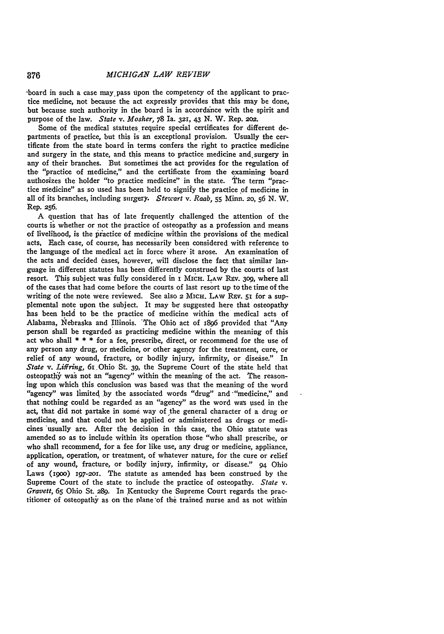-board in such a case may.pass upon the competency of the applicant to practice medicine, not because the act expressly provides that this may be done, but because such authority in the board is in accordance with the spirit and purpose of the law. *State v. Mosher,* 78 Ia. **321,** 43 N. W. Rep. **202.**

Some. of **the** medical statutes require special certificates for different departments of practice, but this is an exceptional provision. Usually the certificate from the state board in terms confers the right to practice medicine and surgery in the state, and this means to practice medicine and surgery in any of their branches. But sometimes the act provides for the regulation of the "practice of medicine," and the certificate from the examining board authorizes the holder "to practice medicine" in the state. The term "practice medicine" as so used has been held to signify the practice of medicine in all of its branches, including surgery. *Stewart v. Raab,* 55 Minn. **20, 56** N. W. Rep. **256.**

A question that has of late frequently challenged the attention of the courts is whether or not the practice of osteopathy as a profession and means of livelihood, is the practice of medicine within the provisions of the medical acts, Each case, of course, has necessarily been considered with reference to the language of the medical act in force where it arose. An examination of the acts and decided cases, however, will disclose the fact that similar language in different statutes has been differently construed by the courts of last resort. This subject was fully considered in i MIcH. **LAW** Rev. **309,** where all of the cases that had come before the courts of last resort up to the time of the writing of the note were reviewed. See also 2 MICH. LAW REV. 51 for a supplemental note upon the subject. It may be suggested here that osteopathy has been held to be the practice of medicine within the medical acts of Alabama, N ebraska and Illinois. 'The **Ohio** act of **i896** provided that "Any person shall be regarded. as practicing medicine within the meaning of this act who shall **\* \* \*** for a fee, prescribe, direct, or recommend for the use of any person any drug, or medicine, or other agency for the treatment, cure, or relief of any wound, fracture, or bodily injury, infirmity, or disease." In *State v. Liffring,* 6I Ohio St. **39,** the Supreme Court of the state held that osteopathy was not an "agency" within the meaning of the act. The reasoning upon which this conclusion was based was that the meaning of the word "agency" was limited **by** the associated words "drug" and -"medicine," and that nothing could be regarded as an "agency" as the word **was** used in the act, that did not partake in some way of the general character of a drug or medicine, and that could not be applied or administered as drugs or medicines usually are. After the decision in this case, the Ohio statute was amended so as to include within its operation those "who shall prescribe, or who shall recommend, for a fee for like use, any drug or medicine, appliance, application, operation, or treatment, of whatever nature, for the cure or relief of any wound, fracture, or bodily injury, infirmity, or disease." **94** Ohio Laws (igoo) **I97-2o.** The statute as amended has been construed **by** the Supreme Court of the state to include the practice of osteopathy. *State v. Gravett, 65* Ohio St. **28g.** In Kentucky the Supreme Court regards the practitioner of osteopathy as on the plane of the trained nurse and as not within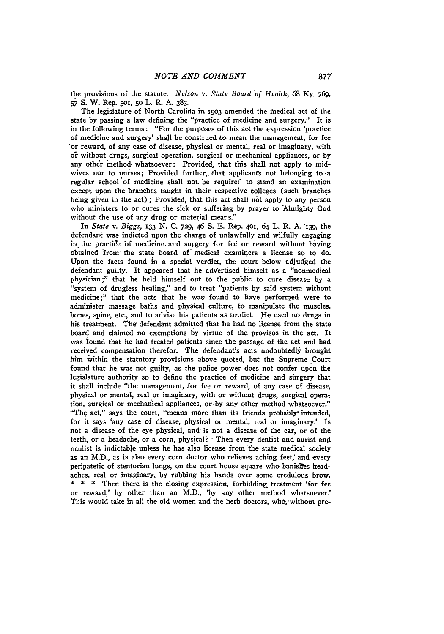the provisions of the statute. *Nelson v. State Board 'of Health,* **68 Ky.** 769, **57 S.** W. Rep. **5oi, 5o** L. R. **A. 383.**

The legislature of North Carolina in **i9o3** amended the fnedical act of the state **by** passing a law defining the "practice of medicine and surgery." It is in the following terms: "For the purposes of this act the expression 'practice of medicine and surgery' shall be construed to mean the management, for fee or reward, of any case of disease, physical or mental, real or imaginary, with or without drugs, surgical operation, surgical or mechanical appliances, or **by** any other method whatsoever: Provided, that this shall not apply to midwives nor to nurses; Provided further,. that applicants not belonging to **-a** regular school of medicine shall not be required to stand an examination except upon the branches taught in their respective colleges (such branches being given in the act); Provided, that this act shall not apply to any person who ministers to or cures the sick or suffering **by** prayer to Almighty God without the use of any drug or material means."

In *State v. Biggs, 133* **N. C. 729,** 46 **S.** E. Rep. **4o,** 64 L. R. **A. "I39,** the defendant was indicted upon the charge of unlawfully and wilfully engaging in the practice of medicine and surgery for fee or reward without having obtained 'from the state board of' medical examiners a license so to do. Upon the facts found in a special verdict, the court below adjudged the defendant guilty. It appeared that he advertised himself as a "nonmedical physician;" that he held himself out to the public to cure disease by a "system of drugless healing," and to treat "patients by said system without medicine;" that the acts that he was found to have performed were to administer massage baths and physical culture, to manipulate the muscles, bones, spine, etc., and to advise his patients as to,.diet. He used no drugs in his treatment. The defendant admitted that he had no license from the state board and claimed no exemptions by virtue of the provisos in the act. It was found that he had treated patients since the passage of the act and had received compensation therefor. The defendant's acts undoubtedly brought him within the statutory provisions above quoted, but the Supreme Court found that he was not guilty, as the police power does not confer upon the legislature authority so to define the practice of medicine and surgery that it shall include "the management, for fee or reward, of any case of disease, physical or mental, real or imaginary, with or without drugs, surgical operation, surgical or mechanical appliances, or.by any other method whatsoever." "The act," says the court, "means more than its friends probably' intended, for it says 'any case of disease, physical or mental, real or imaginary.' Is not a disease of the eye physical, and' is not a disease of the ear, or of the 'teeth, or a headache, or a corn, physical? **"** Then every dentist and aurist and oculist is indictable unless he has also license from'the state medical society as an M.D., as is also every corn doctor who relieves aching feet, and every peripatetic of stentorian lungs, on the court house square who banishtes headaches, real or imaginary, by rubbing his hands over some credulous brow. \* \* **\*** Then there is the closing expression, forbidding treatment 'for fee or reward,' by other than an M.D., 'by any other method whatsoever.' This would take in all the old women and the herb doctors, who, without pre-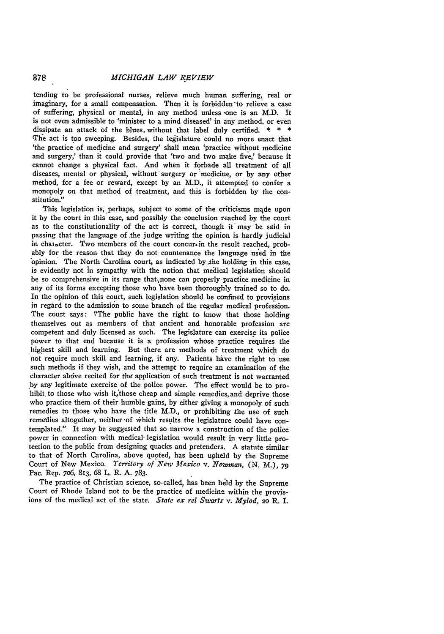tending to be professional nurses, relieve much human suffering, real or imaginary, for a small compensation. Then it is forbidden to relieve a case of suffering, physical or mental, in any method unless-one is an M.D. It is not even admissible to 'minister to a mind diseased' in any method, or even dissipate an attack **of** the blues, without that label duly certified. **\* \* \* The** act is too sweeping. Besides, the legislature could no more enact that 'the practice of medicine and surgery' shall mean 'practice without medicine and surgery,' than it could provide that 'two and two make five,' because it cannot change a physical fact. **And** when it forbade all treatment of all diseases, mental or physical, without' surgery or 'medicine, or **by** any other method, for a fee or reward, except **by** an M.D., it attempted to confer a monopoly on that method of treatment, and this is forbidden **by** the constitution."

This legislation is, perhaps, subject to some of the criticisms made upon it **by** the court in this case, and possibly the conclusion reached **by** the court as to the constitutionality of the act is correct, though it may be said in passing that the language **of** the judge writing the opinion is hardly judicial in chatacter. Two members of the court concur-in the result reached, probably for the reason. that they do not countenance the language used in the "opinion.' The North Carolina court) as indicated by **the** holding in this case, is evidently not in sympathy with the notion that medical legislation should be so comprehensive in its range that, none can properly practice medicine in any of its forms excepting those who have been thoroughly trained so to do. In the opinion of this court, such legislation should be confined to provisions in regard to the admission to some branch of the regular medical profession. The court says: 'The public have the right to know that those holding themselves out as members of that ancient and honorable profession are competent and duly licensed as such. The legislature can exercise its police power to that end because it is a profession whose practice requires the highest skill and learning. But there are methods of treatment which do not require much skill and learning, if any. Patients have the right to use such methods if they wish, and the attempt to require an examination of the character abdve recited for the application of such treatment is not warranted **:by** any legitimate exercise of the police power. The effect would be to prohibit to those who wish it, those cheap and simple remedies, and deprive those who practice them of their humble gains, **by** either giving a monopoly **of** such remedies to those who have the title M.D., or prohibiting the use of such remedies altogether, neither of which results the legislature could have contemplated." It may be suggested that so narrow a construction of the police power in connection with medical- legislation would result in very little protection to the public from designing quacks and pretenders. **A** statute similar to that of North Carolina, above quoted, has been upheld **by** the Supreme Court of New Mexico. *Territory of New Mexico v. Newman*, (N. M.), 79 Pac. Rep. 7o6, **813, 68** L. R. A. 783.

The practice of Christian science, so-called, has been held **by** the Supreme Court of Rhode Island not to be the practice of medicine within the provisions of the medical act of the state. State ex rel Swarts v. Mylod, 20 R. I.